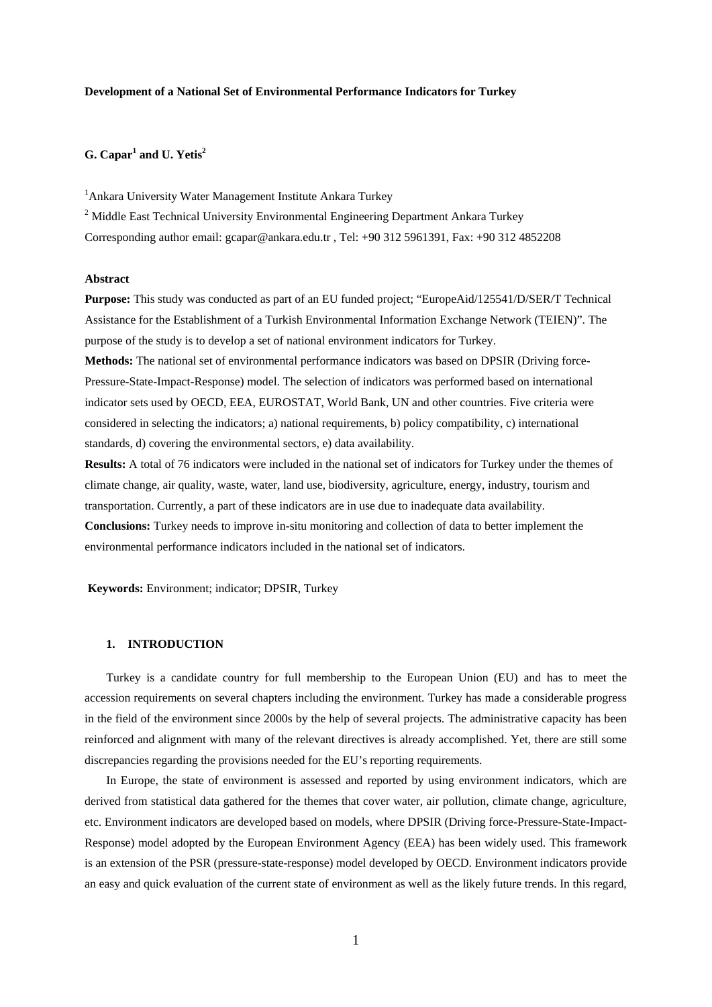## **Development of a National Set of Environmental Performance Indicators for Turkey**

# **G. Capar1 and U. Yetis2**

<sup>1</sup> Ankara University Water Management Institute Ankara Turkey

- <sup>2</sup> Middle East Technical University Environmental Engineering Department Ankara Turkey
- Corresponding author email: gcapar@ankara.edu.tr , Tel: +90 312 5961391, Fax: +90 312 4852208

### **Abstract**

**Purpose:** This study was conducted as part of an EU funded project; "EuropeAid/125541/D/SER/T Technical Assistance for the Establishment of a Turkish Environmental Information Exchange Network (TEIEN)". The purpose of the study is to develop a set of national environment indicators for Turkey.

**Methods:** The national set of environmental performance indicators was based on DPSIR (Driving force-Pressure-State-Impact-Response) model. The selection of indicators was performed based on international indicator sets used by OECD, EEA, EUROSTAT, World Bank, UN and other countries. Five criteria were considered in selecting the indicators; a) national requirements, b) policy compatibility, c) international standards, d) covering the environmental sectors, e) data availability.

**Results:** A total of 76 indicators were included in the national set of indicators for Turkey under the themes of climate change, air quality, waste, water, land use, biodiversity, agriculture, energy, industry, tourism and transportation. Currently, a part of these indicators are in use due to inadequate data availability. **Conclusions:** Turkey needs to improve in-situ monitoring and collection of data to better implement the environmental performance indicators included in the national set of indicators.

**Keywords:** Environment; indicator; DPSIR, Turkey

### **1. INTRODUCTION**

Turkey is a candidate country for full membership to the European Union (EU) and has to meet the accession requirements on several chapters including the environment. Turkey has made a considerable progress in the field of the environment since 2000s by the help of several projects. The administrative capacity has been reinforced and alignment with many of the relevant directives is already accomplished. Yet, there are still some discrepancies regarding the provisions needed for the EU's reporting requirements.

In Europe, the state of environment is assessed and reported by using environment indicators, which are derived from statistical data gathered for the themes that cover water, air pollution, climate change, agriculture, etc. Environment indicators are developed based on models, where DPSIR (Driving force-Pressure-State-Impact-Response) model adopted by the European Environment Agency (EEA) has been widely used. This framework is an extension of the PSR (pressure-state-response) model developed by [OECD.](http://en.wikipedia.org/wiki/Organisation_for_Economic_Co-operation_and_Development) Environment indicators provide an easy and quick evaluation of the current state of environment as well as the likely future trends. In this regard,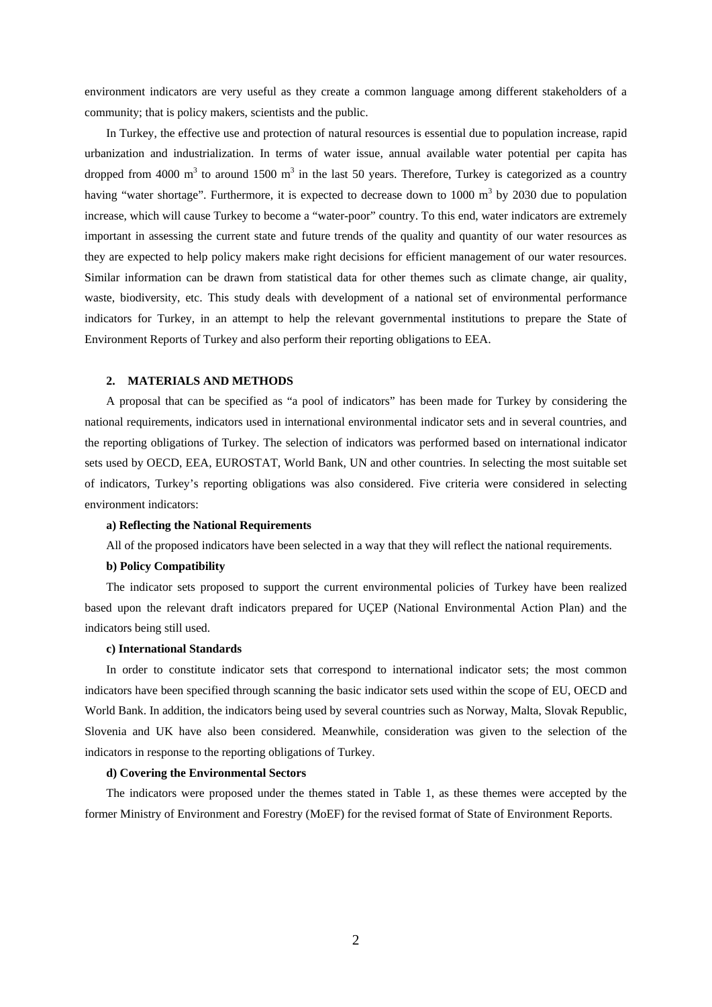environment indicators are very useful as they create a common language among different stakeholders of a community; that is policy makers, scientists and the public.

In Turkey, the effective use and protection of natural resources is essential due to population increase, rapid urbanization and industrialization. In terms of water issue, annual available water potential per capita has dropped from 4000  $m<sup>3</sup>$  to around 1500  $m<sup>3</sup>$  in the last 50 years. Therefore, Turkey is categorized as a country having "water shortage". Furthermore, it is expected to decrease down to 1000  $\text{m}^3$  by 2030 due to population increase, which will cause Turkey to become a "water-poor" country. To this end, water indicators are extremely important in assessing the current state and future trends of the quality and quantity of our water resources as they are expected to help policy makers make right decisions for efficient management of our water resources. Similar information can be drawn from statistical data for other themes such as climate change, air quality, waste, biodiversity, etc. This study deals with development of a national set of environmental performance indicators for Turkey, in an attempt to help the relevant governmental institutions to prepare the State of Environment Reports of Turkey and also perform their reporting obligations to EEA.

## **2. MATERIALS AND METHODS**

A proposal that can be specified as "a pool of indicators" has been made for Turkey by considering the national requirements, indicators used in international environmental indicator sets and in several countries, and the reporting obligations of Turkey. The selection of indicators was performed based on international indicator sets used by OECD, EEA, EUROSTAT, World Bank, UN and other countries. In selecting the most suitable set of indicators, Turkey's reporting obligations was also considered. Five criteria were considered in selecting environment indicators:

## **a) Reflecting the National Requirements**

All of the proposed indicators have been selected in a way that they will reflect the national requirements.

## **b) Policy Compatibility**

The indicator sets proposed to support the current environmental policies of Turkey have been realized based upon the relevant draft indicators prepared for UÇEP (National Environmental Action Plan) and the indicators being still used.

## **c) International Standards**

In order to constitute indicator sets that correspond to international indicator sets; the most common indicators have been specified through scanning the basic indicator sets used within the scope of EU, OECD and World Bank. In addition, the indicators being used by several countries such as Norway, Malta, Slovak Republic, Slovenia and UK have also been considered. Meanwhile, consideration was given to the selection of the indicators in response to the reporting obligations of Turkey.

#### **d) Covering the Environmental Sectors**

The indicators were proposed under the themes stated in Table 1, as these themes were accepted by the former Ministry of Environment and Forestry (MoEF) for the revised format of State of Environment Reports.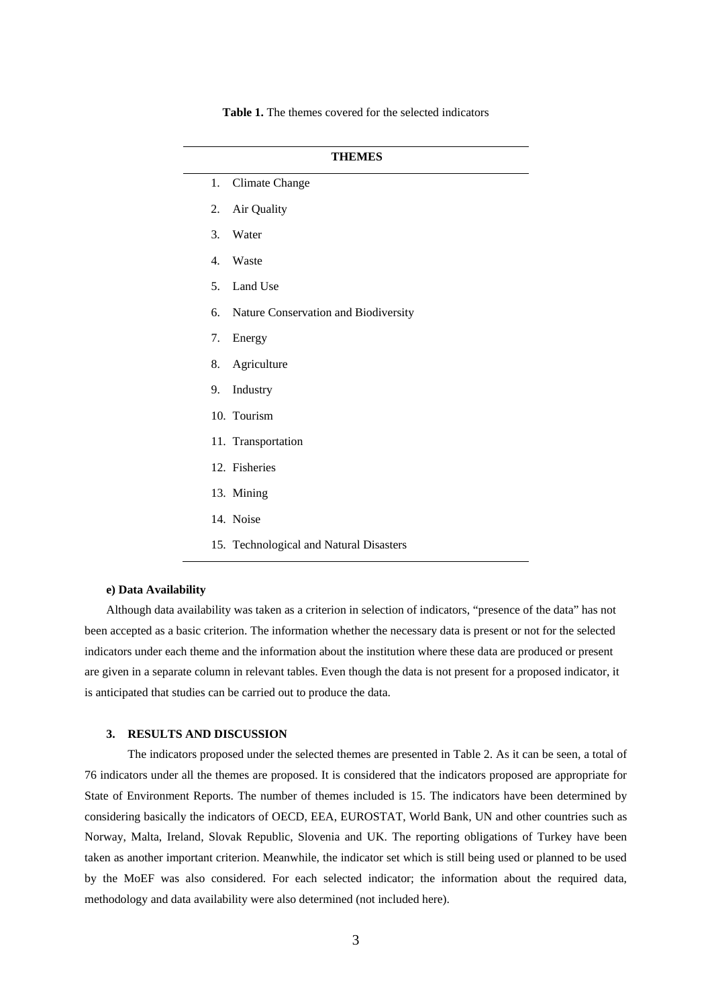|                  | <b>THEMES</b>                           |
|------------------|-----------------------------------------|
| 1.               | <b>Climate Change</b>                   |
| 2.               | Air Quality                             |
| 3.               | Water                                   |
| $\overline{4}$ . | Waste                                   |
| 5.               | Land Use                                |
| 6.               | Nature Conservation and Biodiversity    |
| 7.               | Energy                                  |
| 8.               | Agriculture                             |
| 9.               | Industry                                |
|                  | 10. Tourism                             |
|                  | 11. Transportation                      |
|                  | 12. Fisheries                           |
|                  | 13. Mining                              |
|                  | 14. Noise                               |
|                  | 15. Technological and Natural Disasters |

**Table 1.** The themes covered for the selected indicators

## **e) Data Availability**

Although data availability was taken as a criterion in selection of indicators, "presence of the data" has not been accepted as a basic criterion. The information whether the necessary data is present or not for the selected indicators under each theme and the information about the institution where these data are produced or present are given in a separate column in relevant tables. Even though the data is not present for a proposed indicator, it is anticipated that studies can be carried out to produce the data.

## **3. RESULTS AND DISCUSSION**

The indicators proposed under the selected themes are presented in Table 2. As it can be seen, a total of 76 indicators under all the themes are proposed. It is considered that the indicators proposed are appropriate for State of Environment Reports. The number of themes included is 15. The indicators have been determined by considering basically the indicators of OECD, EEA, EUROSTAT, World Bank, UN and other countries such as Norway, Malta, Ireland, Slovak Republic, Slovenia and UK. The reporting obligations of Turkey have been taken as another important criterion. Meanwhile, the indicator set which is still being used or planned to be used by the MoEF was also considered. For each selected indicator; the information about the required data, methodology and data availability were also determined (not included here).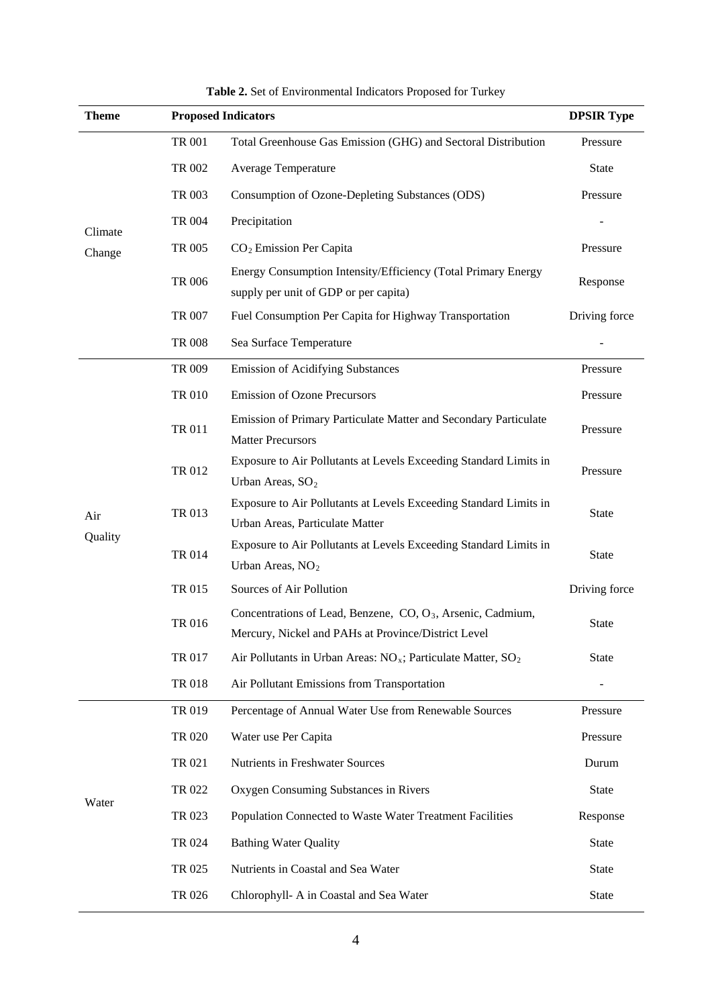| <b>Theme</b> | <b>Proposed Indicators</b> | <b>DPSIR Type</b>                                                                                                              |               |
|--------------|----------------------------|--------------------------------------------------------------------------------------------------------------------------------|---------------|
|              | <b>TR 001</b>              | Total Greenhouse Gas Emission (GHG) and Sectoral Distribution                                                                  | Pressure      |
|              | TR 002                     | Average Temperature                                                                                                            | <b>State</b>  |
|              | TR 003                     | Consumption of Ozone-Depleting Substances (ODS)                                                                                | Pressure      |
| Climate      | <b>TR 004</b>              | Precipitation                                                                                                                  |               |
| Change       | TR 005                     | $CO2$ Emission Per Capita                                                                                                      | Pressure      |
|              | <b>TR 006</b>              | Energy Consumption Intensity/Efficiency (Total Primary Energy<br>supply per unit of GDP or per capita)                         | Response      |
|              | TR 007                     | Fuel Consumption Per Capita for Highway Transportation                                                                         | Driving force |
|              | <b>TR 008</b>              | Sea Surface Temperature                                                                                                        |               |
|              | TR 009                     | <b>Emission of Acidifying Substances</b>                                                                                       | Pressure      |
|              | <b>TR 010</b>              | <b>Emission of Ozone Precursors</b>                                                                                            | Pressure      |
|              | TR 011                     | Emission of Primary Particulate Matter and Secondary Particulate<br><b>Matter Precursors</b>                                   | Pressure      |
|              | TR 012                     | Exposure to Air Pollutants at Levels Exceeding Standard Limits in<br>Urban Areas, SO <sub>2</sub>                              | Pressure      |
| Air          | TR 013                     | Exposure to Air Pollutants at Levels Exceeding Standard Limits in<br>Urban Areas, Particulate Matter                           | <b>State</b>  |
| Quality      | <b>TR 014</b>              | Exposure to Air Pollutants at Levels Exceeding Standard Limits in<br>Urban Areas, $NO2$                                        | <b>State</b>  |
|              | TR 015                     | Sources of Air Pollution                                                                                                       | Driving force |
|              | TR 016                     | Concentrations of Lead, Benzene, CO, O <sub>3</sub> , Arsenic, Cadmium,<br>Mercury, Nickel and PAHs at Province/District Level | <b>State</b>  |
|              | TR 017                     | Air Pollutants in Urban Areas: $NO_x$ ; Particulate Matter, $SO_2$                                                             | <b>State</b>  |
|              | TR 018                     | Air Pollutant Emissions from Transportation                                                                                    |               |
|              | TR 019                     | Percentage of Annual Water Use from Renewable Sources                                                                          | Pressure      |
|              | TR 020                     | Water use Per Capita                                                                                                           | Pressure      |
|              | TR 021                     | Nutrients in Freshwater Sources                                                                                                | Durum         |
|              | TR 022                     | Oxygen Consuming Substances in Rivers                                                                                          | State         |
| Water        | TR 023                     | Population Connected to Waste Water Treatment Facilities                                                                       | Response      |
|              | TR 024                     | <b>Bathing Water Quality</b>                                                                                                   | State         |
|              | TR 025                     | Nutrients in Coastal and Sea Water                                                                                             | State         |
|              | TR 026                     | Chlorophyll- A in Coastal and Sea Water                                                                                        | <b>State</b>  |

| Table 2. Set of Environmental Indicators Proposed for Turkey |  |  |
|--------------------------------------------------------------|--|--|
|--------------------------------------------------------------|--|--|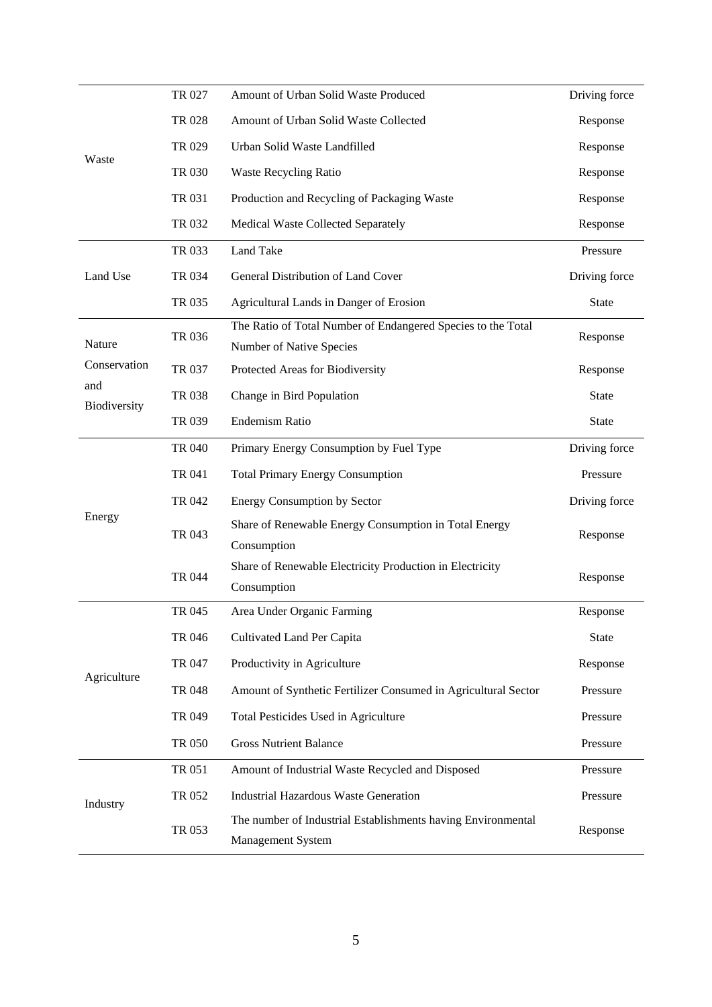|                     | TR 027        | Amount of Urban Solid Waste Produced                                                     | Driving force |
|---------------------|---------------|------------------------------------------------------------------------------------------|---------------|
|                     | TR 028        | Amount of Urban Solid Waste Collected                                                    | Response      |
|                     | TR 029        | Urban Solid Waste Landfilled                                                             | Response      |
| Waste               | <b>TR 030</b> | <b>Waste Recycling Ratio</b>                                                             | Response      |
|                     | TR 031        | Production and Recycling of Packaging Waste                                              | Response      |
|                     | TR 032        | Medical Waste Collected Separately                                                       | Response      |
|                     | TR 033        | Land Take                                                                                | Pressure      |
| Land Use            | TR 034        | General Distribution of Land Cover                                                       | Driving force |
|                     | TR 035        | Agricultural Lands in Danger of Erosion                                                  | <b>State</b>  |
| Nature              | TR 036        | The Ratio of Total Number of Endangered Species to the Total<br>Number of Native Species | Response      |
| Conservation        | TR 037        | Protected Areas for Biodiversity                                                         | Response      |
| and<br>Biodiversity | TR 038        | Change in Bird Population                                                                | <b>State</b>  |
|                     | TR 039        | <b>Endemism Ratio</b>                                                                    | <b>State</b>  |
|                     | TR 040        | Primary Energy Consumption by Fuel Type                                                  | Driving force |
|                     | TR 041        | <b>Total Primary Energy Consumption</b>                                                  | Pressure      |
|                     | TR 042        | <b>Energy Consumption by Sector</b>                                                      | Driving force |
| Energy              | TR 043        | Share of Renewable Energy Consumption in Total Energy                                    | Response      |
|                     |               | Consumption                                                                              |               |
|                     | <b>TR 044</b> | Share of Renewable Electricity Production in Electricity<br>Consumption                  | Response      |
|                     | TR 045        | Area Under Organic Farming                                                               | Response      |
|                     | TR 046        | Cultivated Land Per Capita                                                               | <b>State</b>  |
| Agriculture         | TR 047        | Productivity in Agriculture                                                              | Response      |
|                     | TR 048        | Amount of Synthetic Fertilizer Consumed in Agricultural Sector                           | Pressure      |
|                     | TR 049        | Total Pesticides Used in Agriculture                                                     | Pressure      |
|                     | TR 050        | <b>Gross Nutrient Balance</b>                                                            | Pressure      |
|                     | TR 051        | Amount of Industrial Waste Recycled and Disposed                                         | Pressure      |
| Industry            | TR 052        | <b>Industrial Hazardous Waste Generation</b>                                             | Pressure      |
|                     | TR 053        | The number of Industrial Establishments having Environmental<br>Management System        | Response      |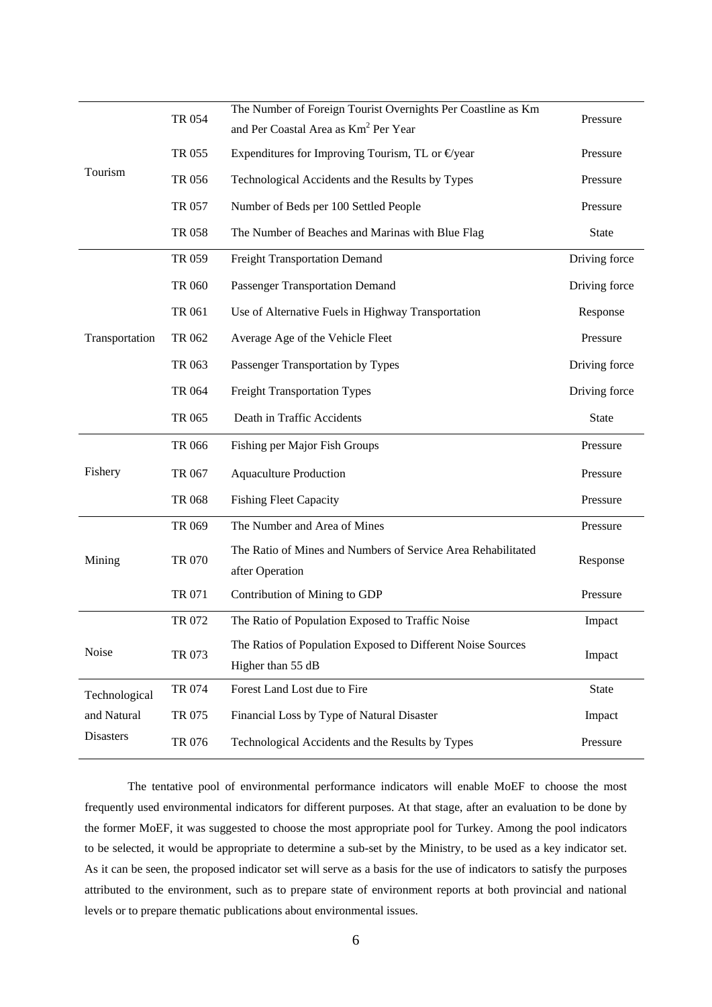| Tourism          | TR 054        | The Number of Foreign Tourist Overnights Per Coastline as Km<br>and Per Coastal Area as Km <sup>2</sup> Per Year | Pressure      |
|------------------|---------------|------------------------------------------------------------------------------------------------------------------|---------------|
|                  | TR 055        | Expenditures for Improving Tourism, TL or $\Theta$ year                                                          | Pressure      |
|                  | TR 056        | Technological Accidents and the Results by Types                                                                 | Pressure      |
|                  | TR 057        | Number of Beds per 100 Settled People                                                                            | Pressure      |
|                  | <b>TR 058</b> | The Number of Beaches and Marinas with Blue Flag                                                                 | <b>State</b>  |
|                  | TR 059        | <b>Freight Transportation Demand</b>                                                                             | Driving force |
|                  | TR 060        | <b>Passenger Transportation Demand</b>                                                                           | Driving force |
|                  | TR 061        | Use of Alternative Fuels in Highway Transportation                                                               | Response      |
| Transportation   | TR 062        | Average Age of the Vehicle Fleet                                                                                 | Pressure      |
|                  | TR 063        | Passenger Transportation by Types                                                                                | Driving force |
|                  | TR 064        | <b>Freight Transportation Types</b>                                                                              | Driving force |
|                  | TR 065        | Death in Traffic Accidents                                                                                       | <b>State</b>  |
|                  | <b>TR 066</b> | Fishing per Major Fish Groups                                                                                    | Pressure      |
| Fishery          | TR 067        | <b>Aquaculture Production</b>                                                                                    | Pressure      |
|                  | TR 068        | <b>Fishing Fleet Capacity</b>                                                                                    | Pressure      |
| Mining           | TR 069        | The Number and Area of Mines                                                                                     | Pressure      |
|                  | TR 070        | The Ratio of Mines and Numbers of Service Area Rehabilitated<br>after Operation                                  | Response      |
|                  | TR 071        | Contribution of Mining to GDP                                                                                    | Pressure      |
|                  | TR 072        | The Ratio of Population Exposed to Traffic Noise                                                                 | Impact        |
| Noise            | TR 073        | The Ratios of Population Exposed to Different Noise Sources<br>Higher than 55 dB                                 | Impact        |
| Technological    | TR 074        | Forest Land Lost due to Fire                                                                                     | <b>State</b>  |
| and Natural      | TR 075        | Financial Loss by Type of Natural Disaster                                                                       | Impact        |
| <b>Disasters</b> | TR 076        | Technological Accidents and the Results by Types                                                                 | Pressure      |

The tentative pool of environmental performance indicators will enable MoEF to choose the most frequently used environmental indicators for different purposes. At that stage, after an evaluation to be done by the former MoEF, it was suggested to choose the most appropriate pool for Turkey. Among the pool indicators to be selected, it would be appropriate to determine a sub-set by the Ministry, to be used as a key indicator set. As it can be seen, the proposed indicator set will serve as a basis for the use of indicators to satisfy the purposes attributed to the environment, such as to prepare state of environment reports at both provincial and national levels or to prepare thematic publications about environmental issues.